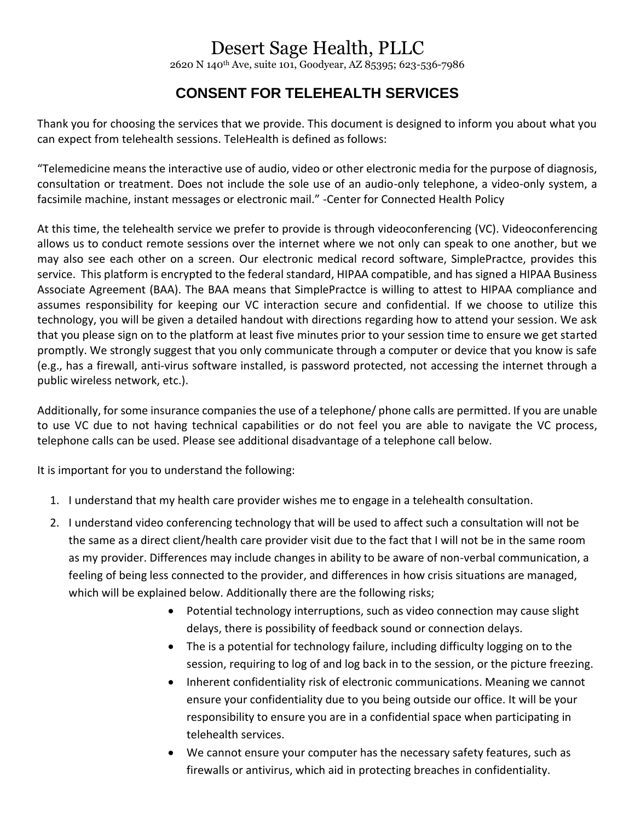## Desert Sage Health, PLLC

2620 N 140th Ave, suite 101, Goodyear, AZ 85395; 623-536-7986

### **CONSENT FOR TELEHEALTH SERVICES**

Thank you for choosing the services that we provide. This document is designed to inform you about what you can expect from telehealth sessions. TeleHealth is defined as follows:

"Telemedicine means the interactive use of audio, video or other electronic media for the purpose of diagnosis, consultation or treatment. Does not include the sole use of an audio-only telephone, a video-only system, a facsimile machine, instant messages or electronic mail." -Center for Connected Health Policy

At this time, the telehealth service we prefer to provide is through videoconferencing (VC). Videoconferencing allows us to conduct remote sessions over the internet where we not only can speak to one another, but we may also see each other on a screen. Our electronic medical record software, SimplePractce, provides this service. This platform is encrypted to the federal standard, HIPAA compatible, and has signed a HIPAA Business Associate Agreement (BAA). The BAA means that SimplePractce is willing to attest to HIPAA compliance and assumes responsibility for keeping our VC interaction secure and confidential. If we choose to utilize this technology, you will be given a detailed handout with directions regarding how to attend your session. We ask that you please sign on to the platform at least five minutes prior to your session time to ensure we get started promptly. We strongly suggest that you only communicate through a computer or device that you know is safe (e.g., has a firewall, anti-virus software installed, is password protected, not accessing the internet through a public wireless network, etc.).

Additionally, for some insurance companies the use of a telephone/ phone calls are permitted. If you are unable to use VC due to not having technical capabilities or do not feel you are able to navigate the VC process, telephone calls can be used. Please see additional disadvantage of a telephone call below.

It is important for you to understand the following:

- 1. I understand that my health care provider wishes me to engage in a telehealth consultation.
- 2. I understand video conferencing technology that will be used to affect such a consultation will not be the same as a direct client/health care provider visit due to the fact that I will not be in the same room as my provider. Differences may include changes in ability to be aware of non-verbal communication, a feeling of being less connected to the provider, and differences in how crisis situations are managed, which will be explained below. Additionally there are the following risks;
	- Potential technology interruptions, such as video connection may cause slight delays, there is possibility of feedback sound or connection delays.
	- The is a potential for technology failure, including difficulty logging on to the session, requiring to log of and log back in to the session, or the picture freezing.
	- Inherent confidentiality risk of electronic communications. Meaning we cannot ensure your confidentiality due to you being outside our office. It will be your responsibility to ensure you are in a confidential space when participating in telehealth services.
	- We cannot ensure your computer has the necessary safety features, such as firewalls or antivirus, which aid in protecting breaches in confidentiality.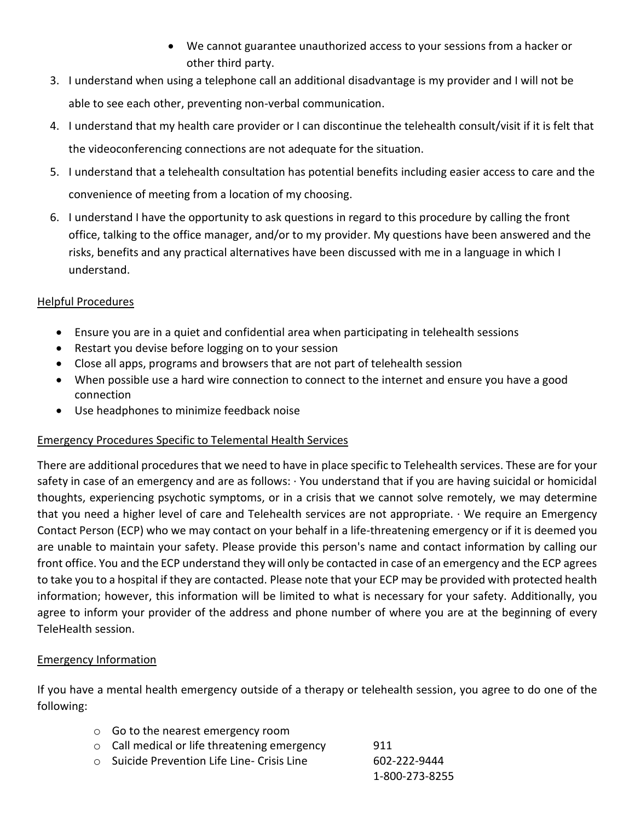- We cannot guarantee unauthorized access to your sessions from a hacker or other third party.
- 3. I understand when using a telephone call an additional disadvantage is my provider and I will not be able to see each other, preventing non-verbal communication.
- 4. I understand that my health care provider or I can discontinue the telehealth consult/visit if it is felt that the videoconferencing connections are not adequate for the situation.
- 5. I understand that a telehealth consultation has potential benefits including easier access to care and the convenience of meeting from a location of my choosing.
- 6. I understand I have the opportunity to ask questions in regard to this procedure by calling the front office, talking to the office manager, and/or to my provider. My questions have been answered and the risks, benefits and any practical alternatives have been discussed with me in a language in which I understand.

#### Helpful Procedures

- Ensure you are in a quiet and confidential area when participating in telehealth sessions
- Restart you devise before logging on to your session
- Close all apps, programs and browsers that are not part of telehealth session
- When possible use a hard wire connection to connect to the internet and ensure you have a good connection
- Use headphones to minimize feedback noise

#### Emergency Procedures Specific to Telemental Health Services

There are additional procedures that we need to have in place specific to Telehealth services. These are for your safety in case of an emergency and are as follows: · You understand that if you are having suicidal or homicidal thoughts, experiencing psychotic symptoms, or in a crisis that we cannot solve remotely, we may determine that you need a higher level of care and Telehealth services are not appropriate. · We require an Emergency Contact Person (ECP) who we may contact on your behalf in a life-threatening emergency or if it is deemed you are unable to maintain your safety. Please provide this person's name and contact information by calling our front office. You and the ECP understand they will only be contacted in case of an emergency and the ECP agrees to take you to a hospital if they are contacted. Please note that your ECP may be provided with protected health information; however, this information will be limited to what is necessary for your safety. Additionally, you agree to inform your provider of the address and phone number of where you are at the beginning of every TeleHealth session.

#### Emergency Information

If you have a mental health emergency outside of a therapy or telehealth session, you agree to do one of the following:

- o Go to the nearest emergency room
- o Call medical or life threatening emergency 911
- o Suicide Prevention Life Line- Crisis Line 602-222-9444 1-800-273-8255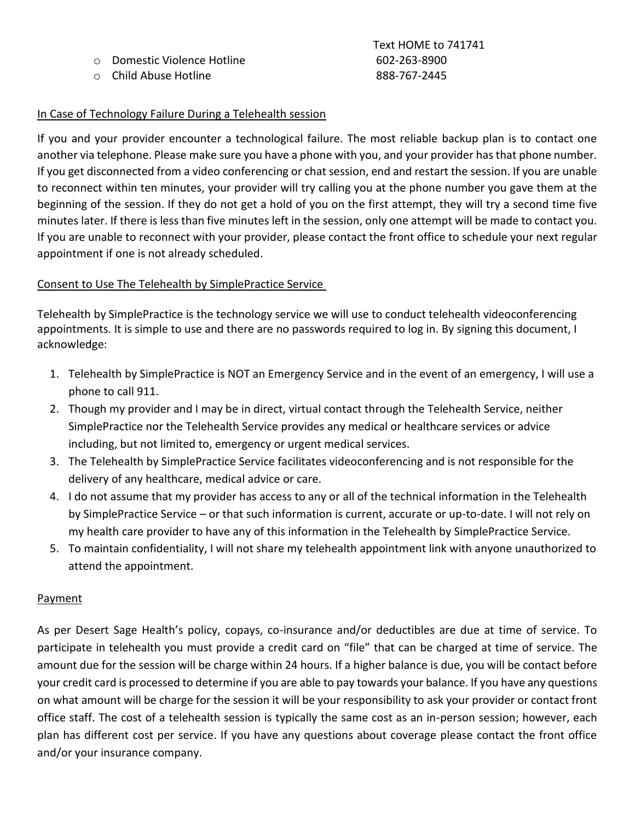- o Domestic Violence Hotline 602-263-8900
- o Child Abuse Hotline 888-767-2445

# Text HOME to 741741

#### In Case of Technology Failure During a Telehealth session

If you and your provider encounter a technological failure. The most reliable backup plan is to contact one another via telephone. Please make sure you have a phone with you, and your provider has that phone number. If you get disconnected from a video conferencing or chat session, end and restart the session. If you are unable to reconnect within ten minutes, your provider will try calling you at the phone number you gave them at the beginning of the session. If they do not get a hold of you on the first attempt, they will try a second time five minutes later. If there is less than five minutes left in the session, only one attempt will be made to contact you. If you are unable to reconnect with your provider, please contact the front office to schedule your next regular appointment if one is not already scheduled.

#### Consent to Use The Telehealth by SimplePractice Service

Telehealth by SimplePractice is the technology service we will use to conduct telehealth videoconferencing appointments. It is simple to use and there are no passwords required to log in. By signing this document, I acknowledge:

- 1. Telehealth by SimplePractice is NOT an Emergency Service and in the event of an emergency, I will use a phone to call 911.
- 2. Though my provider and I may be in direct, virtual contact through the Telehealth Service, neither SimplePractice nor the Telehealth Service provides any medical or healthcare services or advice including, but not limited to, emergency or urgent medical services.
- 3. The Telehealth by SimplePractice Service facilitates videoconferencing and is not responsible for the delivery of any healthcare, medical advice or care.
- 4. I do not assume that my provider has access to any or all of the technical information in the Telehealth by SimplePractice Service – or that such information is current, accurate or up-to-date. I will not rely on my health care provider to have any of this information in the Telehealth by SimplePractice Service.
- 5. To maintain confidentiality, I will not share my telehealth appointment link with anyone unauthorized to attend the appointment.

#### Payment

As per Desert Sage Health's policy, copays, co-insurance and/or deductibles are due at time of service. To participate in telehealth you must provide a credit card on "file" that can be charged at time of service. The amount due for the session will be charge within 24 hours. If a higher balance is due, you will be contact before your credit card is processed to determine if you are able to pay towards your balance. If you have any questions on what amount will be charge for the session it will be your responsibility to ask your provider or contact front office staff. The cost of a telehealth session is typically the same cost as an in-person session; however, each plan has different cost per service. If you have any questions about coverage please contact the front office and/or your insurance company.